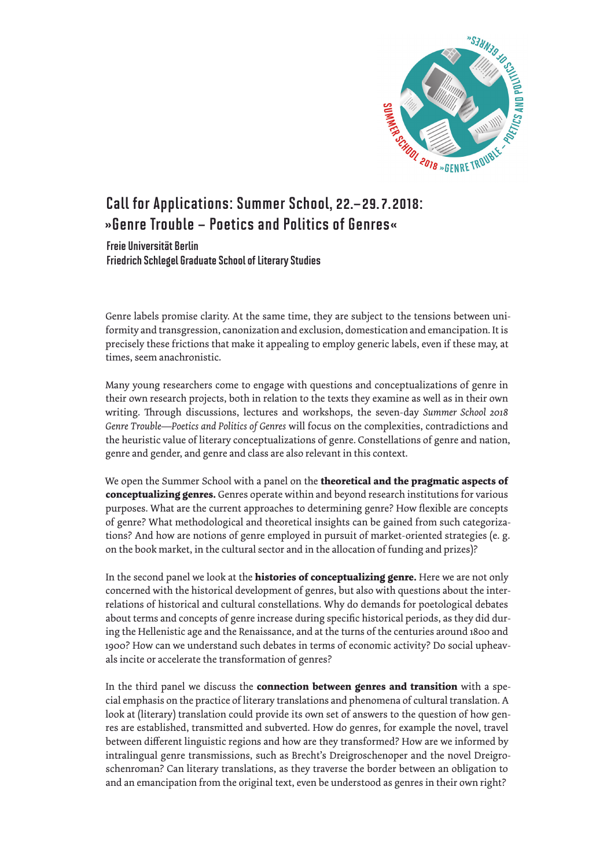

## Call for Applications: Summer School, 22.–29.7.2018: »Genre Trouble – Poetics and Politics of Genres«

Freie Universität Berlin Friedrich Schlegel Graduate School of Literary Studies

Genre labels promise clarity. At the same time, they are subject to the tensions between uniformity and transgression, canonization and exclusion, domestication and emancipation. It is precisely these frictions that make it appealing to employ generic labels, even if these may, at times, seem anachronistic.

Many young researchers come to engage with questions and conceptualizations of genre in their own research projects, both in relation to the texts they examine as well as in their own writing. Through discussions, lectures and workshops, the seven-day *Summer School 2018 Genre Trouble—Poetics and Politics of Genres* will focus on the complexities, contradictions and the heuristic value of literary conceptualizations of genre. Constellations of genre and nation, genre and gender, and genre and class are also relevant in this context.

We open the Summer School with a panel on the **theoretical and the pragmatic aspects of conceptualizing genres.** Genres operate within and beyond research institutions for various purposes. What are the current approaches to determining genre? How flexible are concepts of genre? What methodological and theoretical insights can be gained from such categorizations? And how are notions of genre employed in pursuit of market-oriented strategies (e. g. on the book market, in the cultural sector and in the allocation of funding and prizes)?

In the second panel we look at the **histories of conceptualizing genre.** Here we are not only concerned with the historical development of genres, but also with questions about the interrelations of historical and cultural constellations. Why do demands for poetological debates about terms and concepts of genre increase during specific historical periods, as they did during the Hellenistic age and the Renaissance, and at the turns of the centuries around 1800 and 1900? How can we understand such debates in terms of economic activity? Do social upheavals incite or accelerate the transformation of genres?

In the third panel we discuss the **connection between genres and transition** with a special emphasis on the practice of literary translations and phenomena of cultural translation. A look at (literary) translation could provide its own set of answers to the question of how genres are established, transmitted and subverted. How do genres, for example the novel, travel between different linguistic regions and how are they transformed? How are we informed by intralingual genre transmissions, such as Brecht's Dreigroschenoper and the novel Dreigroschenroman? Can literary translations, as they traverse the border between an obligation to and an emancipation from the original text, even be understood as genres in their own right?